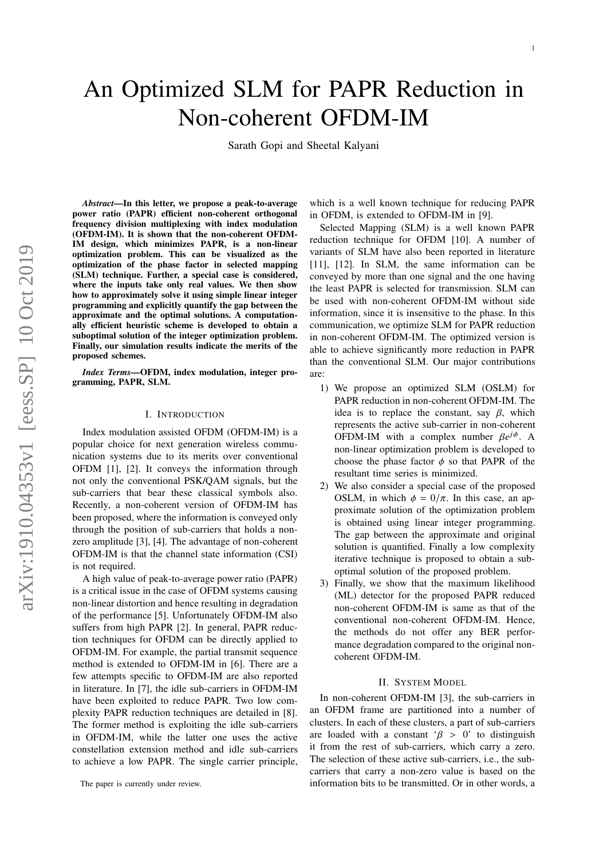# An Optimized SLM for PAPR Reduction in Non-coherent OFDM-IM

Sarath Gopi and Sheetal Kalyani

*Abstract*—In this letter, we propose a peak-to-average power ratio (PAPR) efficient non-coherent orthogonal frequency division multiplexing with index modulation (OFDM-IM). It is shown that the non-coherent OFDM-IM design, which minimizes PAPR, is a non-linear optimization problem. This can be visualized as the optimization of the phase factor in selected mapping (SLM) technique. Further, a special case is considered, where the inputs take only real values. We then show how to approximately solve it using simple linear integer programming and explicitly quantify the gap between the approximate and the optimal solutions. A computationally efficient heuristic scheme is developed to obtain a suboptimal solution of the integer optimization problem. Finally, our simulation results indicate the merits of the proposed schemes.

*Index Terms*—OFDM, index modulation, integer programming, PAPR, SLM.

### I. INTRODUCTION

Index modulation assisted OFDM (OFDM-IM) is a popular choice for next generation wireless communication systems due to its merits over conventional OFDM [1], [2]. It conveys the information through not only the conventional PSK/QAM signals, but the sub-carriers that bear these classical symbols also. Recently, a non-coherent version of OFDM-IM has been proposed, where the information is conveyed only through the position of sub-carriers that holds a nonzero amplitude [3], [4]. The advantage of non-coherent OFDM-IM is that the channel state information (CSI) is not required.

A high value of peak-to-average power ratio (PAPR) is a critical issue in the case of OFDM systems causing non-linear distortion and hence resulting in degradation of the performance [5]. Unfortunately OFDM-IM also suffers from high PAPR [2]. In general, PAPR reduction techniques for OFDM can be directly applied to OFDM-IM. For example, the partial transmit sequence method is extended to OFDM-IM in [6]. There are a few attempts specific to OFDM-IM are also reported in literature. In [7], the idle sub-carriers in OFDM-IM have been exploited to reduce PAPR. Two low complexity PAPR reduction techniques are detailed in [8]. The former method is exploiting the idle sub-carriers in OFDM-IM, while the latter one uses the active constellation extension method and idle sub-carriers to achieve a low PAPR. The single carrier principle,

which is a well known technique for reducing PAPR in OFDM, is extended to OFDM-IM in [9].

Selected Mapping (SLM) is a well known PAPR reduction technique for OFDM [10]. A number of variants of SLM have also been reported in literature [11], [12]. In SLM, the same information can be conveyed by more than one signal and the one having the least PAPR is selected for transmission. SLM can be used with non-coherent OFDM-IM without side information, since it is insensitive to the phase. In this communication, we optimize SLM for PAPR reduction in non-coherent OFDM-IM. The optimized version is able to achieve significantly more reduction in PAPR than the conventional SLM. Our major contributions are:

- 1) We propose an optimized SLM (OSLM) for PAPR reduction in non-coherent OFDM-IM. The idea is to replace the constant, say  $\beta$ , which represents the active sub-carrier in non-coherent OFDM-IM with a complex number  $\beta e^{j\phi}$ . A non-linear optimization problem is developed to choose the phase factor  $\phi$  so that PAPR of the resultant time series is minimized.
- 2) We also consider a special case of the proposed OSLM, in which  $\phi = 0/\pi$ . In this case, an approximate solution of the optimization problem is obtained using linear integer programming. The gap between the approximate and original solution is quantified. Finally a low complexity iterative technique is proposed to obtain a suboptimal solution of the proposed problem.
- 3) Finally, we show that the maximum likelihood (ML) detector for the proposed PAPR reduced non-coherent OFDM-IM is same as that of the conventional non-coherent OFDM-IM. Hence, the methods do not offer any BER performance degradation compared to the original noncoherent OFDM-IM.

## II. SYSTEM MODEL

In non-coherent OFDM-IM [3], the sub-carriers in an OFDM frame are partitioned into a number of clusters. In each of these clusters, a part of sub-carriers are loaded with a constant  $\beta > 0$ ' to distinguish it from the rest of sub-carriers, which carry a zero. The selection of these active sub-carriers, i.e., the subcarriers that carry a non-zero value is based on the information bits to be transmitted. Or in other words, a

The paper is currently under review.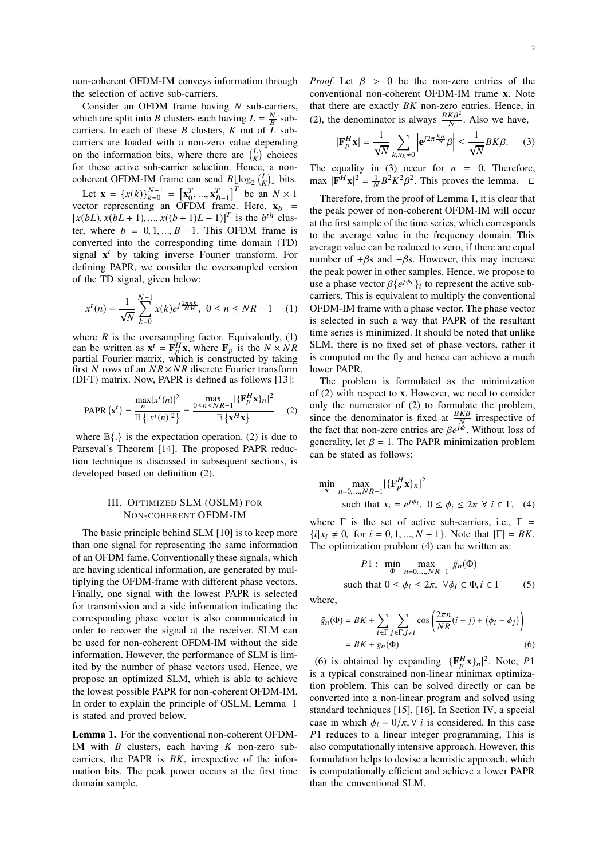non-coherent OFDM-IM conveys information through the selection of active sub-carriers.

Consider an OFDM frame having *N* sub-carriers, which are split into *B* clusters each having  $L = \frac{N}{B}$  subcarriers. In each of these *B* clusters, *K* out of *L* subcarriers are loaded with a non-zero value depending on the information bits, where there are  $\binom{L}{K}$  choices for these active sub-carrier selection. Hence, a noncoherent OFDM-IM frame can send  $B\lfloor \log_2 {L \choose K} \rfloor$  bits.

Let  $\mathbf{x} = \{x(k)\}_{k=0}^{N-1} = \begin{bmatrix} \mathbf{x}_0^T, ..., \mathbf{x}_{B-1}^T \end{bmatrix}^T$  be an  $N \times 1$ vector representing an OFDM frame. Here,  $\mathbf{x}_b$  =  $[x(bL), x(bL + 1), ..., x((b + 1)L - 1)]^T$  is the *b*<sup>th</sup> cluster, where  $b = 0, 1, ..., B - 1$ . This OFDM frame is converted into the corresponding time domain (TD) signal  $x<sup>t</sup>$  by taking inverse Fourier transform. For defining PAPR, we consider the oversampled version of the TD signal, given below:

$$
x^{t}(n) = \frac{1}{\sqrt{N}} \sum_{k=0}^{N-1} x(k)e^{j\frac{2\pi nk}{NK}}, \ 0 \le n \le NR - 1 \quad (1)
$$

where  $R$  is the oversampling factor. Equivalently,  $(1)$ can be written as  $\mathbf{x}^t = \mathbf{F}_p^H \mathbf{x}$ , where  $\mathbf{F}_p$  is the  $N \times NR$  partial Fourier matrix, which is constructed by taking first *N* rows of an  $NR \times NR$  discrete Fourier transform (DFT) matrix. Now, PAPR is defined as follows [13]:

$$
\text{PAPR}(\mathbf{x}^t) = \frac{\max_{n} |x^t(n)|^2}{\mathbb{E}\left\{|x^t(n)|^2\right\}} = \frac{\max_{0 \le n \le NR-1} |\{\mathbf{F}_p^H \mathbf{x}\}_n|^2}{\mathbb{E}\left\{\mathbf{x}^H \mathbf{x}\right\}} \tag{2}
$$

where  $\mathbb{E}\{\cdot\}$  is the expectation operation. (2) is due to Parseval's Theorem [14]. The proposed PAPR reduction technique is discussed in subsequent sections, is developed based on definition (2).

## III. OPTIMIZED SLM (OSLM) FOR NON-COHERENT OFDM-IM

The basic principle behind SLM [10] is to keep more than one signal for representing the same information of an OFDM fame. Conventionally these signals, which are having identical information, are generated by multiplying the OFDM-frame with different phase vectors. Finally, one signal with the lowest PAPR is selected for transmission and a side information indicating the corresponding phase vector is also communicated in order to recover the signal at the receiver. SLM can be used for non-coherent OFDM-IM without the side information. However, the performance of SLM is limited by the number of phase vectors used. Hence, we propose an optimized SLM, which is able to achieve the lowest possible PAPR for non-coherent OFDM-IM. In order to explain the principle of OSLM, Lemma 1 is stated and proved below.

Lemma 1. For the conventional non-coherent OFDM-IM with *B* clusters, each having *K* non-zero subcarriers, the PAPR is *BK*, irrespective of the information bits. The peak power occurs at the first time domain sample.

*Proof.* Let  $\beta > 0$  be the non-zero entries of the conventional non-coherent OFDM-IM frame **x**. Note that there are exactly *BK* non-zero entries. Hence, in (2), the denominator is always  $\frac{B K \beta^2}{N}$  $\frac{N}{N}$ . Also we have,

$$
|\mathbf{F}_p^H \mathbf{x}| = \frac{1}{\sqrt{N}} \sum_{k, x_k \neq 0} \left| \mathbf{e}^{j2\pi \frac{k n}{N}} \beta \right| \le \frac{1}{\sqrt{N}} BK \beta. \tag{3}
$$

The equality in (3) occur for  $n = 0$ . Therefore,  $\|\mathbf{F}^H \mathbf{x}\|^2 = \frac{1}{N} B^2 K^2 \beta^2$ . This proves the lemma.  $\square$ 

Therefore, from the proof of Lemma 1, it is clear that the peak power of non-coherent OFDM-IM will occur at the first sample of the time series, which corresponds to the average value in the frequency domain. This average value can be reduced to zero, if there are equal number of  $+\beta s$  and  $-\beta s$ . However, this may increase the peak power in other samples. Hence, we propose to use a phase vector  $\beta \{e^{j\phi_i}\}_i$  to represent the active subcarriers. This is equivalent to multiply the conventional OFDM-IM frame with a phase vector. The phase vector is selected in such a way that PAPR of the resultant time series is minimized. It should be noted that unlike SLM, there is no fixed set of phase vectors, rather it is computed on the fly and hence can achieve a much lower PAPR.

The problem is formulated as the minimization of (2) with respect to **x**. However, we need to consider only the numerator of (2) to formulate the problem, since the denominator is fixed at  $\frac{B K \beta}{N}$  irrespective of the fact that non-zero entries are  $\beta e^{j\phi}$ . Without loss of generality, let  $\beta = 1$ . The PAPR minimization problem can be stated as follows:

$$
\min_{\mathbf{x}} \max_{n=0,\dots,NR-1} |\{\mathbf{F}_p^H \mathbf{x}\}_n|^2
$$
\nsuch that  $x_i = e^{j\phi_i}$ ,  $0 \le \phi_i \le 2\pi \ \forall \ i \in \Gamma$ , (4)

where  $\Gamma$  is the set of active sub-carriers, i.e.,  $\Gamma$  =  $\{i|x_i \neq 0, \text{ for } i = 0, 1, ..., N-1\}.$  Note that  $|\Gamma| = BK$ . The optimization problem (4) can be written as:

$$
P1: \min_{\Phi} \max_{n=0,\dots,NR-1} \tilde{g}_n(\Phi)
$$
  
such that  $0 \le \phi_i \le 2\pi$ ,  $\forall \phi_i \in \Phi, i \in \Gamma$  (5)

where,

$$
\tilde{g}_n(\Phi) = BK + \sum_{i \in \Gamma} \sum_{j \in \Gamma, j \neq i} \cos \left( \frac{2\pi n}{NR} (i - j) + (\phi_i - \phi_j) \right)
$$

$$
= BK + g_n(\Phi) \tag{6}
$$

(6) is obtained by expanding  $|\{\mathbf{F}_p^H \mathbf{x}\}_n|^2$ . Note, P1 is a typical constrained non-linear minimax optimization problem. This can be solved directly or can be converted into a non-linear program and solved using standard techniques [15], [16]. In Section IV, a special case in which  $\phi_i = 0/\pi$ ,  $\forall$  *i* is considered. In this case *P*1 reduces to a linear integer programming, This is also computationally intensive approach. However, this formulation helps to devise a heuristic approach, which is computationally efficient and achieve a lower PAPR than the conventional SLM.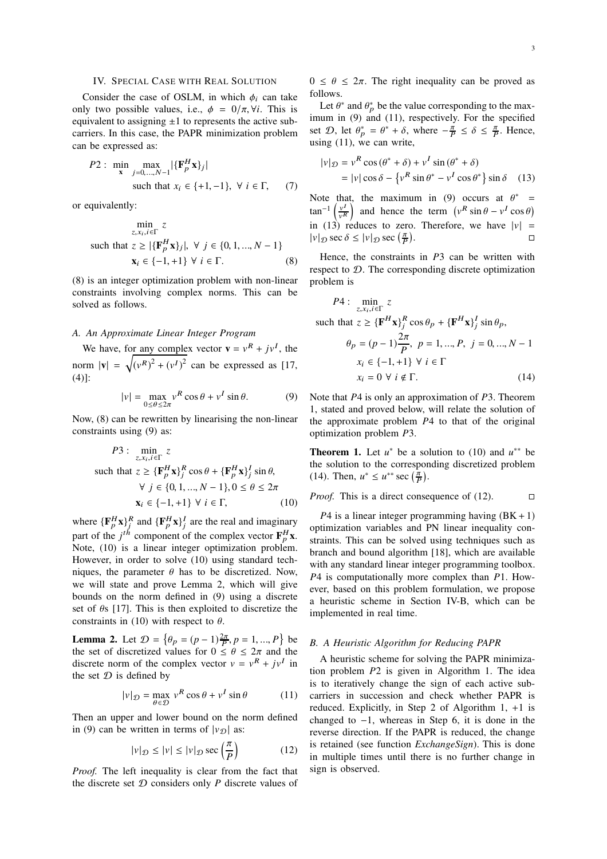## IV. SPECIAL CASE WITH REAL SOLUTION

Consider the case of OSLM, in which  $\phi_i$  can take only two possible values, i.e.,  $\phi = 0/\pi$ ,  $\forall i$ . This is equivalent to assigning  $\pm 1$  to represents the active subcarriers. In this case, the PAPR minimization problem can be expressed as:

P2: 
$$
\min_{\mathbf{x}} \max_{j=0,...,N-1} |\{\mathbf{F}_p^H \mathbf{x}\}_j|
$$
  
such that  $x_i \in \{+1, -1\}$ ,  $\forall i \in \Gamma$ , (7)

or equivalently:

$$
\min_{z, x_i, i \in \Gamma} z
$$
\nsuch that  $z \geq |\{\mathbf{F}_p^H \mathbf{x}\}_j|, \forall j \in \{0, 1, ..., N - 1\}$ 

\n
$$
\mathbf{x}_i \in \{-1, +1\} \forall i \in \Gamma.
$$
\n(8)

(8) is an integer optimization problem with non-linear constraints involving complex norms. This can be solved as follows.

### *A. An Approximate Linear Integer Program*

We have, for any complex vector  $\mathbf{v} = v^R + jv^I$ , the norm  $|\mathbf{v}| = \sqrt{(v^R)^2 + (v^I)^2}$  can be expressed as [17, (4)]:

$$
|v| = \max_{0 \le \theta \le 2\pi} v^R \cos \theta + v^I \sin \theta.
$$
 (9)

Now, (8) can be rewritten by linearising the non-linear constraints using (9) as:

$$
P3: \min_{z,x_i,i \in \Gamma} z
$$
  
such that  $z \ge {\{\mathbf{F}_p^H \mathbf{x}\}_j^R \cos \theta + {\{\mathbf{F}_p^H \mathbf{x}\}_j^I \sin \theta, \}$   

$$
\forall j \in \{0, 1, ..., N - 1\}, 0 \le \theta \le 2\pi
$$
  

$$
\mathbf{x}_i \in \{-1, +1\} \forall i \in \Gamma,
$$
 (10)

where  ${\{\mathbf{F}_p^H\mathbf{x}\}}_j^R$  and  ${\{\mathbf{F}_p^H\mathbf{x}\}}_j^I$  are the real and imaginary part of the  $j^{th}$  component of the complex vector  $\mathbf{F}_p^H \mathbf{x}$ . Note, (10) is a linear integer optimization problem. However, in order to solve (10) using standard techniques, the parameter  $\theta$  has to be discretized. Now, we will state and prove Lemma 2, which will give bounds on the norm defined in (9) using a discrete set of  $\theta$ s [17]. This is then exploited to discretize the constraints in (10) with respect to  $\theta$ .

**Lemma 2.** Let  $\mathcal{D} = \{ \theta_p = (p-1)\frac{2\pi}{P}, p = 1, ..., P \}$  be the set of discretized values for  $0 \le \theta \le 2\pi$  and the discrete norm of the complex vector  $v = v^R + jv^I$  in the set  $D$  is defined by

$$
|v|_{\mathcal{D}} = \max_{\theta \in \mathcal{D}} v^R \cos \theta + v^I \sin \theta \tag{11}
$$

Then an upper and lower bound on the norm defined in (9) can be written in terms of  $|v_{\mathcal{D}}|$  as:

$$
|v|_{\mathcal{D}} \le |v| \le |v|_{\mathcal{D}} \sec\left(\frac{\pi}{P}\right) \tag{12}
$$

*Proof.* The left inequality is clear from the fact that the discrete set  $D$  considers only  $P$  discrete values of  $0 \le \theta \le 2\pi$ . The right inequality can be proved as follows.

Let  $\theta^*$  and  $\theta^*_p$  be the value corresponding to the maximum in (9) and (11), respectively. For the specified set  $\mathcal{D}$ , let  $\theta_p^* = \theta^* + \delta$ , where  $-\frac{\pi}{P} \le \delta \le \frac{\pi}{P}$ . Hence, using (11), we can write,

$$
|v|_{\mathcal{D}} = v^R \cos(\theta^* + \delta) + v^I \sin(\theta^* + \delta)
$$
  
= 
$$
|v| \cos \delta - \{v^R \sin \theta^* - v^I \cos \theta^*\} \sin \delta
$$
 (13)

Note that, the maximum in (9) occurs at  $\theta^*$  = tan<sup>-1</sup>  $\left(\frac{v^I}{v^R}\right)$  $\left(\frac{v^I}{v^R}\right)$  and hence the term  $\left(v^R \sin \theta - v^I \cos \theta\right)$ in (13) reduces to zero. Therefore, we have  $|v|$  =  $|v|_{\mathcal{D}} \sec \delta \leq |v|_{\mathcal{D}} \sec \left(\frac{\pi}{P}\right)$ .

Hence, the constraints in *P*3 can be written with respect to  $D$ . The corresponding discrete optimization problem is

$$
P4: \min_{z, x_i, i \in \Gamma} z
$$
  
such that  $z \ge {\{\mathbf{F}^H \mathbf{x}\}}_j^R \cos \theta_p + {\{\mathbf{F}^H \mathbf{x}\}}_j^I \sin \theta_p,$   

$$
\theta_p = (p-1)\frac{2\pi}{P}, \ p = 1, ..., P, \ j = 0, ..., N - 1
$$
  
 $x_i \in \{-1, +1\} \ \forall \ i \in \Gamma$   
 $x_i = 0 \ \forall \ i \notin \Gamma.$  (14)

Note that *P*4 is only an approximation of *P*3. Theorem 1, stated and proved below, will relate the solution of the approximate problem *P*4 to that of the original optimization problem *P*3.

**Theorem 1.** Let  $u^*$  be a solution to (10) and  $u^{**}$  be the solution to the corresponding discretized problem (14). Then,  $u^* \le u^{**} \sec(\frac{\pi}{P})$ .

*Proof.* This is a direct consequence of (12). 
$$
\Box
$$

 $P4$  is a linear integer programming having  $(BK + 1)$ optimization variables and PN linear inequality constraints. This can be solved using techniques such as branch and bound algorithm [18], which are available with any standard linear integer programming toolbox. *P*4 is computationally more complex than *P*1. However, based on this problem formulation, we propose a heuristic scheme in Section IV-B, which can be implemented in real time.

## *B. A Heuristic Algorithm for Reducing PAPR*

A heuristic scheme for solving the PAPR minimization problem *P*2 is given in Algorithm 1. The idea is to iteratively change the sign of each active subcarriers in succession and check whether PAPR is reduced. Explicitly, in Step 2 of Algorithm 1, +1 is changed to  $-1$ , whereas in Step 6, it is done in the reverse direction. If the PAPR is reduced, the change is retained (see function *ExchangeSign*). This is done in multiple times until there is no further change in sign is observed.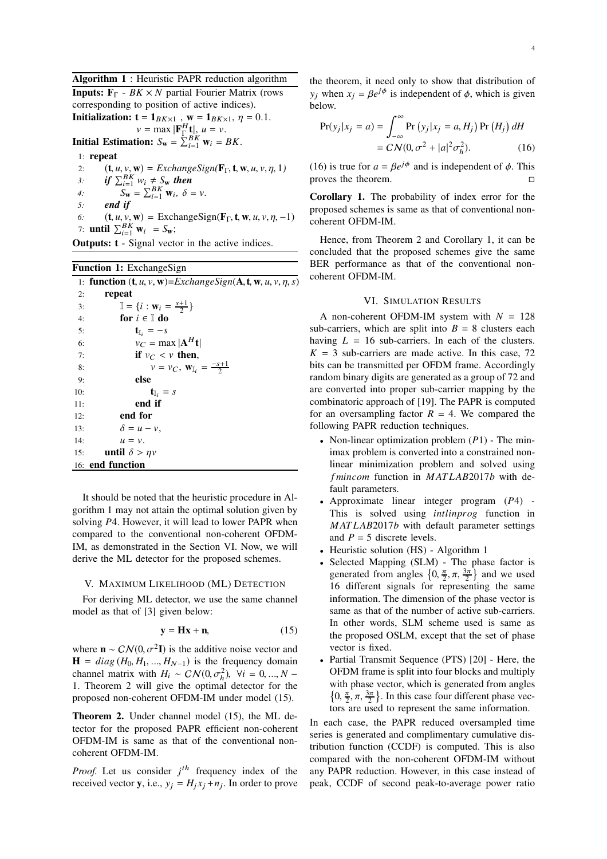Algorithm 1 : Heuristic PAPR reduction algorithm

**Inputs:**  $\mathbf{F}_{\Gamma}$  - *BK* × *N* partial Fourier Matrix (rows corresponding to position of active indices). **Initialization:**  $\mathbf{t} = \mathbf{1}_{BK \times 1}$ ,  $\mathbf{w} = \mathbf{1}_{BK \times 1}$ ,  $\eta = 0.1$ .

 $v = \max |\mathbf{F}_{\Gamma}^H \mathbf{t}|, u = v.$ 

**Initial Estimation:**  $S_{\mathbf{w}} = \sum_{i=1}^{B} \mathbf{w}_i = BK$ .

1: repeat

- 2:  $(\mathbf{t}, u, v, \mathbf{w}) = ExchangeSign(\mathbf{F}_{\Gamma}, \mathbf{t}, \mathbf{w}, u, v, \eta, 1)$ <br>3: if  $\sum_{i=1}^{B} w_i \neq S_{\mathbf{w}}$  then
- 3: *if*  $\sum_{i=1}^{BK} w_i \neq \sum_{i=1}^{S} w_i$  *then*
- 4:  $S_{\mathbf{w}} = \sum_{i=1}^{BK} \mathbf{w}_i, \delta = v.$
- *5: end if*
- 6:  $(\mathbf{t}, u, v, \mathbf{w}) = \text{ExchangeSign}(\mathbf{F}_{\Gamma}, \mathbf{t}, \mathbf{w}, u, v, \eta, -1)$ 7: **until**  $\sum_{i=1}^{BK} \mathbf{w}_i = S_{\mathbf{w}};$

**Outputs: t** - Signal vector in the active indices.

| <b>Function 1:</b> ExchangeSign |                                                                   |  |  |  |  |
|---------------------------------|-------------------------------------------------------------------|--|--|--|--|
|                                 | 1: function $(t, u, v, w) = ExchangeSign(A, t, w, u, v, \eta, s)$ |  |  |  |  |
| 2:                              | repeat                                                            |  |  |  |  |
| 3:                              | $\mathbb{I} = \{i : \mathbf{w}_i = \frac{s+1}{2}\}\$              |  |  |  |  |
| 4:                              | for $i \in \mathbb{I}$ do                                         |  |  |  |  |
| 5:                              | $\mathbf{t}_{\parallel}$ , $=-s$                                  |  |  |  |  |
| 6:                              | $v_C = \max  \mathbf{A}^H\mathbf{t} $                             |  |  |  |  |
| 7:                              | if $v_C < v$ then,                                                |  |  |  |  |
| 8:                              | $v = v_C$ , $\mathbf{W}_{\mathbb{I}_i} = \frac{-s+1}{2}$          |  |  |  |  |
| 9:                              | else                                                              |  |  |  |  |
| 10:                             | $\mathbf{t}_{\mathbb{I}_i} = s$                                   |  |  |  |  |
| 11:                             | end if                                                            |  |  |  |  |
| 12:                             | end for                                                           |  |  |  |  |
| 13:                             | $\delta = u - v$ ,                                                |  |  |  |  |
| 14:                             | $u = v$ .                                                         |  |  |  |  |
| 15:                             | until $\delta > \eta v$                                           |  |  |  |  |
|                                 | 16: end function                                                  |  |  |  |  |

It should be noted that the heuristic procedure in Algorithm 1 may not attain the optimal solution given by solving *P*4. However, it will lead to lower PAPR when compared to the conventional non-coherent OFDM-IM, as demonstrated in the Section VI. Now, we will derive the ML detector for the proposed schemes.

### V. MAXIMUM LIKELIHOOD (ML) DETECTION

For deriving ML detector, we use the same channel model as that of [3] given below:

$$
y = Hx + n,\t(15)
$$

where  $\mathbf{n} \sim \mathcal{CN}(0, \sigma^2 \mathbf{I})$  is the additive noise vector and  $\mathbf{H} = diag(H_0, H_1, ..., H_{N-1})$  is the frequency domain channel matrix with  $H_i \sim \mathcal{CN}(0, \sigma_h^2)$ ,  $\forall i = 0, ..., N$  − 1. Theorem 2 will give the optimal detector for the proposed non-coherent OFDM-IM under model (15).

Theorem 2. Under channel model (15), the ML detector for the proposed PAPR efficient non-coherent OFDM-IM is same as that of the conventional noncoherent OFDM-IM.

*Proof.* Let us consider  $j<sup>th</sup>$  frequency index of the received vector **y**, i.e.,  $y_j = H_j x_j + n_j$ . In order to prove the theorem, it need only to show that distribution of  $y_j$  when  $x_j = \beta e^{j\phi}$  is independent of  $\phi$ , which is given below.

$$
Pr(y_j|x_j = a) = \int_{-\infty}^{\infty} Pr(y_j|x_j = a, H_j) Pr(H_j) dH
$$

$$
= C N(0, \sigma^2 + |a|^2 \sigma_h^2).
$$
 (16)

(16) is true for  $a = \beta e^{j\phi}$  and is independent of  $\phi$ . This proves the theorem.

Corollary 1. The probability of index error for the proposed schemes is same as that of conventional noncoherent OFDM-IM.

Hence, from Theorem 2 and Corollary 1, it can be concluded that the proposed schemes give the same BER performance as that of the conventional noncoherent OFDM-IM.

## VI. SIMULATION RESULTS

A non-coherent OFDM-IM system with *N* = 128 sub-carriers, which are split into  $B = 8$  clusters each having  $L = 16$  sub-carriers. In each of the clusters.  $K = 3$  sub-carriers are made active. In this case, 72 bits can be transmitted per OFDM frame. Accordingly random binary digits are generated as a group of 72 and are converted into proper sub-carrier mapping by the combinatoric approach of [19]. The PAPR is computed for an oversampling factor  $R = 4$ . We compared the following PAPR reduction techniques.

- Non-linear optimization problem (*P*1) The minimax problem is converted into a constrained nonlinear minimization problem and solved using *f mincom* function in *M AT LAB*2017*b* with default parameters.
- Approximate linear integer program (*P*4) This is solved using *intlinpro*g function in *M AT LAB*2017*b* with default parameter settings and  $P = 5$  discrete levels.
- Heuristic solution (HS) Algorithm 1
- Selected Mapping (SLM) The phase factor is generated from angles  $\{0, \frac{\pi}{2}, \pi, \frac{3\pi}{2}\}\$  and we used 16 different signals for representing the same information. The dimension of the phase vector is same as that of the number of active sub-carriers. In other words, SLM scheme used is same as the proposed OSLM, except that the set of phase vector is fixed.
- Partial Transmit Sequence (PTS) [20] Here, the OFDM frame is split into four blocks and multiply with phase vector, which is generated from angles  $\left\{0, \frac{\pi}{2}, \pi, \frac{3\pi}{2}\right\}$ . In this case four different phase vectors are used to represent the same information.

In each case, the PAPR reduced oversampled time series is generated and complimentary cumulative distribution function (CCDF) is computed. This is also compared with the non-coherent OFDM-IM without any PAPR reduction. However, in this case instead of peak, CCDF of second peak-to-average power ratio